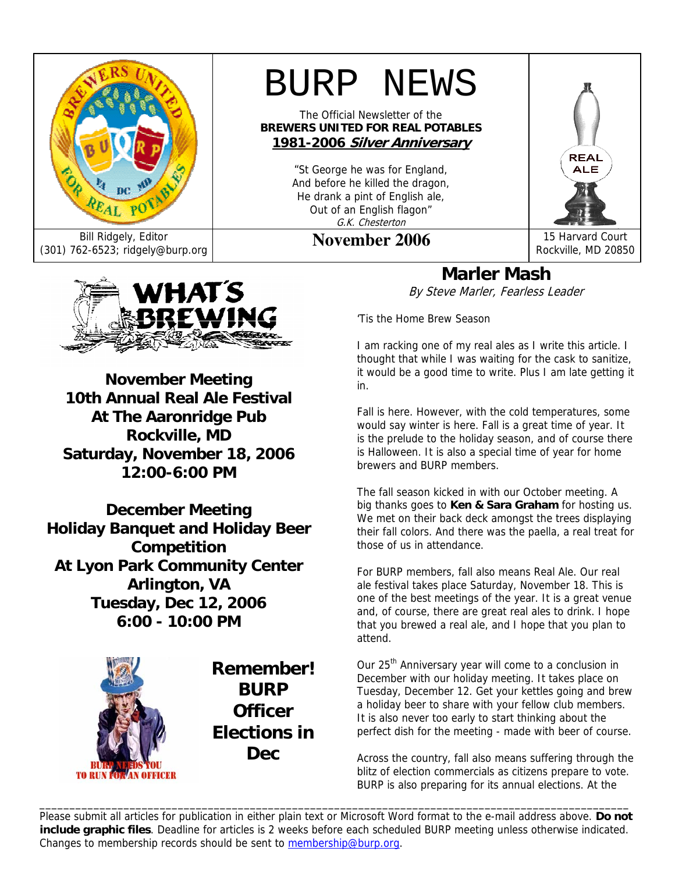

Bill Ridgely, Editor<br>(301) 762-6523; ridgely@burp.org **November 2006** 15 Harvard Court Rockville, MD 2085

# BURP NEWS

The Official Newsletter of the **BREWERS UNITED FOR REAL POTABLES 1981-2006 Silver Anniversary**

> "St George he was for England, And before he killed the dragon, He drank a pint of English ale, Out of an English flagon" G.K. Chesterton

Rockville, MD 20850

REAL **ALE** 



**November Meeting 10th Annual Real Ale Festival At The Aaronridge Pub Rockville, MD Saturday, November 18, 2006 12:00-6:00 PM** 

**December Meeting Holiday Banquet and Holiday Beer Competition At Lyon Park Community Center Arlington, VA Tuesday, Dec 12, 2006 6:00 - 10:00 PM**



**Remember! BURP Officer Elections in Dec** 

**Marler Mash**  By Steve Marler, Fearless Leader

'Tis the Home Brew Season

I am racking one of my real ales as I write this article. I thought that while I was waiting for the cask to sanitize, it would be a good time to write. Plus I am late getting it in.

Fall is here. However, with the cold temperatures, some would say winter is here. Fall is a great time of year. It is the prelude to the holiday season, and of course there is Halloween. It is also a special time of year for home brewers and BURP members.

The fall season kicked in with our October meeting. A big thanks goes to **Ken & Sara Graham** for hosting us. We met on their back deck amongst the trees displaying their fall colors. And there was the paella, a real treat for those of us in attendance.

For BURP members, fall also means Real Ale. Our real ale festival takes place Saturday, November 18. This is one of the best meetings of the year. It is a great venue and, of course, there are great real ales to drink. I hope that you brewed a real ale, and I hope that you plan to attend.

Our 25<sup>th</sup> Anniversary year will come to a conclusion in December with our holiday meeting. It takes place on Tuesday, December 12. Get your kettles going and brew a holiday beer to share with your fellow club members. It is also never too early to start thinking about the perfect dish for the meeting - made with beer of course.

Across the country, fall also means suffering through the blitz of election commercials as citizens prepare to vote. BURP is also preparing for its annual elections. At the

Please submit all articles for publication in either plain text or Microsoft Word format to the e-mail address above. **Do not include graphic files**. Deadline for articles is 2 weeks before each scheduled BURP meeting unless otherwise indicated. Changes to membership records should be sent to membership@burp.org.

\_\_\_\_\_\_\_\_\_\_\_\_\_\_\_\_\_\_\_\_\_\_\_\_\_\_\_\_\_\_\_\_\_\_\_\_\_\_\_\_\_\_\_\_\_\_\_\_\_\_\_\_\_\_\_\_\_\_\_\_\_\_\_\_\_\_\_\_\_\_\_\_\_\_\_\_\_\_\_\_\_\_\_\_\_\_\_\_\_\_\_\_\_\_\_\_\_\_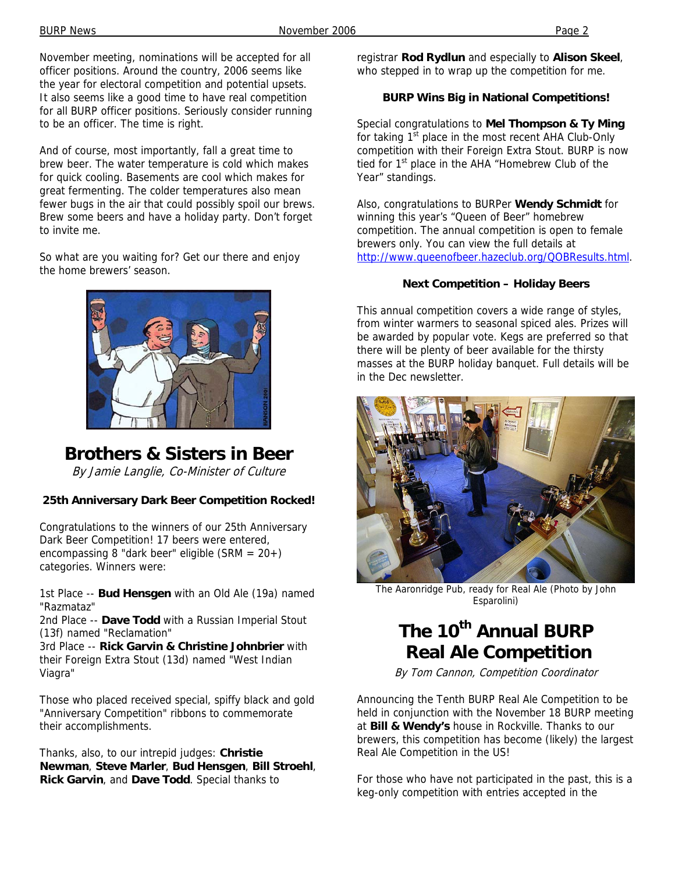BURP News **November 2006** Page 2

November meeting, nominations will be accepted for all officer positions. Around the country, 2006 seems like the year for electoral competition and potential upsets. It also seems like a good time to have real competition for all BURP officer positions. Seriously consider running to be an officer. The time is right.

And of course, most importantly, fall a great time to brew beer. The water temperature is cold which makes for quick cooling. Basements are cool which makes for great fermenting. The colder temperatures also mean fewer bugs in the air that could possibly spoil our brews. Brew some beers and have a holiday party. Don't forget to invite me.

So what are you waiting for? Get our there and enjoy the home brewers' season.



### **Brothers & Sisters in Beer**

By Jamie Langlie, Co-Minister of Culture

#### **25th Anniversary Dark Beer Competition Rocked!**

Congratulations to the winners of our 25th Anniversary Dark Beer Competition! 17 beers were entered, encompassing 8 "dark beer" eligible (SRM = 20+) categories. Winners were:

1st Place -- **Bud Hensgen** with an Old Ale (19a) named "Razmataz"

2nd Place -- **Dave Todd** with a Russian Imperial Stout (13f) named "Reclamation"

3rd Place -- **Rick Garvin & Christine Johnbrier** with their Foreign Extra Stout (13d) named "West Indian Viagra"

Those who placed received special, spiffy black and gold "Anniversary Competition" ribbons to commemorate their accomplishments.

Thanks, also, to our intrepid judges: **Christie Newman**, **Steve Marler**, **Bud Hensgen**, **Bill Stroehl**, **Rick Garvin**, and **Dave Todd**. Special thanks to

registrar **Rod Rydlun** and especially to **Alison Skeel**, who stepped in to wrap up the competition for me.

#### **BURP Wins Big in National Competitions!**

Special congratulations to **Mel Thompson & Ty Ming** for taking  $1<sup>st</sup>$  place in the most recent AHA Club-Only competition with their Foreign Extra Stout. BURP is now tied for 1<sup>st</sup> place in the AHA "Homebrew Club of the Year" standings.

Also, congratulations to BURPer **Wendy Schmidt** for winning this year's "Queen of Beer" homebrew competition. The annual competition is open to female brewers only. You can view the full details at http://www.queenofbeer.hazeclub.org/QOBResults.html.

#### **Next Competition – Holiday Beers**

This annual competition covers a wide range of styles, from winter warmers to seasonal spiced ales. Prizes will be awarded by popular vote. Kegs are preferred so that there will be plenty of beer available for the thirsty masses at the BURP holiday banquet. Full details will be in the Dec newsletter.



The Aaronridge Pub, ready for Real Ale (Photo by John Esparolini)

### The 10<sup>th</sup> Annual BURP  **Real Ale Competition**

By Tom Cannon, Competition Coordinator

Announcing the Tenth BURP Real Ale Competition to be held in conjunction with the November 18 BURP meeting at **Bill & Wendy's** house in Rockville. Thanks to our brewers, this competition has become (likely) the largest Real Ale Competition in the US!

For those who have not participated in the past, this is a keg-only competition with entries accepted in the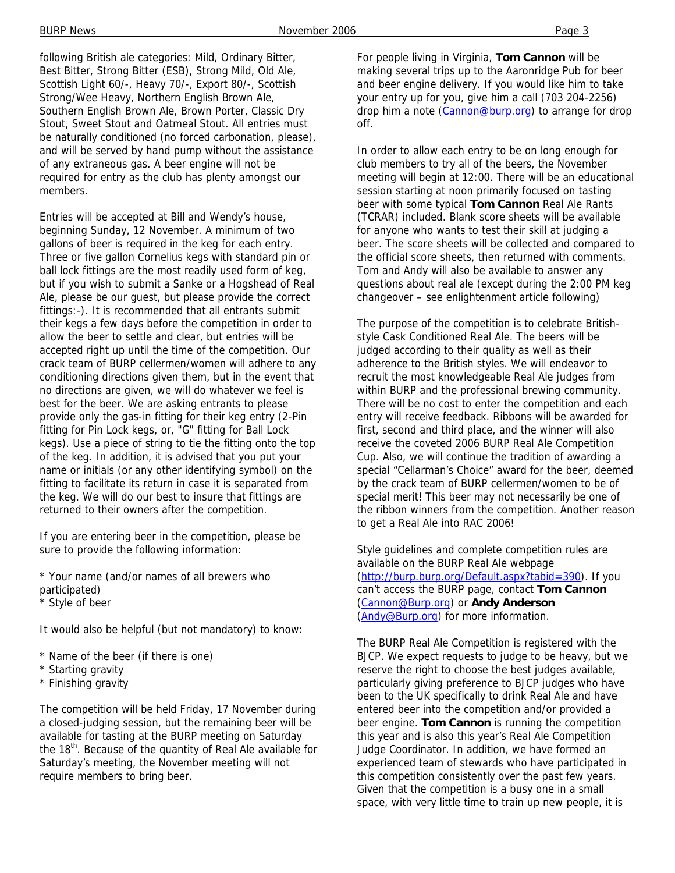following British ale categories: Mild, Ordinary Bitter, Best Bitter, Strong Bitter (ESB), Strong Mild, Old Ale, Scottish Light 60/-, Heavy 70/-, Export 80/-, Scottish Strong/Wee Heavy, Northern English Brown Ale, Southern English Brown Ale, Brown Porter, Classic Dry Stout, Sweet Stout and Oatmeal Stout. All entries must be naturally conditioned (no forced carbonation, please), and will be served by hand pump without the assistance of any extraneous gas. A beer engine will not be required for entry as the club has plenty amongst our members.

Entries will be accepted at Bill and Wendy's house, beginning Sunday, 12 November. A minimum of two gallons of beer is required in the keg for each entry. Three or five gallon Cornelius kegs with standard pin or ball lock fittings are the most readily used form of keg, but if you wish to submit a Sanke or a Hogshead of Real Ale, please be our guest, but please provide the correct fittings:-). It is recommended that all entrants submit their kegs a few days before the competition in order to allow the beer to settle and clear, but entries will be accepted right up until the time of the competition. Our crack team of BURP cellermen/women will adhere to any conditioning directions given them, but in the event that no directions are given, we will do whatever we feel is best for the beer. We are asking entrants to please provide only the gas-in fitting for their keg entry (2-Pin fitting for Pin Lock kegs, or, "G" fitting for Ball Lock kegs). Use a piece of string to tie the fitting onto the top of the keg. In addition, it is advised that you put your name or initials (or any other identifying symbol) on the fitting to facilitate its return in case it is separated from the keg. We will do our best to insure that fittings are returned to their owners after the competition.

If you are entering beer in the competition, please be sure to provide the following information:

\* Your name (and/or names of all brewers who participated)

Style of beer

It would also be helpful (but not mandatory) to know:

- \* Name of the beer (if there is one)
- \* Starting gravity
- \* Finishing gravity

The competition will be held Friday, 17 November during a closed-judging session, but the remaining beer will be available for tasting at the BURP meeting on Saturday the 18<sup>th</sup>. Because of the quantity of Real Ale available for Saturday's meeting, the November meeting will not require members to bring beer.

For people living in Virginia, **Tom Cannon** will be making several trips up to the Aaronridge Pub for beer and beer engine delivery. If you would like him to take your entry up for you, give him a call (703 204-2256) drop him a note (Cannon@burp.org) to arrange for drop off.

In order to allow each entry to be on long enough for club members to try all of the beers, the November meeting will begin at 12:00. There will be an educational session starting at noon primarily focused on tasting beer with some typical **Tom Cannon** Real Ale Rants (TCRAR) included. Blank score sheets will be available for anyone who wants to test their skill at judging a beer. The score sheets will be collected and compared to the official score sheets, then returned with comments. Tom and Andy will also be available to answer any questions about real ale (except during the 2:00 PM keg changeover – see enlightenment article following)

The purpose of the competition is to celebrate Britishstyle Cask Conditioned Real Ale. The beers will be judged according to their quality as well as their adherence to the British styles. We will endeavor to recruit the most knowledgeable Real Ale judges from within BURP and the professional brewing community. There will be no cost to enter the competition and each entry will receive feedback. Ribbons will be awarded for first, second and third place, and the winner will also receive the coveted 2006 BURP Real Ale Competition Cup. Also, we will continue the tradition of awarding a special "Cellarman's Choice" award for the beer, deemed by the crack team of BURP cellermen/women to be of special merit! This beer may not necessarily be one of the ribbon winners from the competition. Another reason to get a Real Ale into RAC 2006!

Style guidelines and complete competition rules are available on the BURP Real Ale webpage (http://burp.burp.org/Default.aspx?tabid=390). If you can't access the BURP page, contact **Tom Cannon** (Cannon@Burp.org) or **Andy Anderson** (Andy@Burp.org) for more information.

The BURP Real Ale Competition is registered with the BJCP. We expect requests to judge to be heavy, but we reserve the right to choose the best judges available, particularly giving preference to BJCP judges who have been to the UK specifically to drink Real Ale and have entered beer into the competition and/or provided a beer engine. **Tom Cannon** is running the competition this year and is also this year's Real Ale Competition Judge Coordinator. In addition, we have formed an experienced team of stewards who have participated in this competition consistently over the past few years. Given that the competition is a busy one in a small space, with very little time to train up new people, it is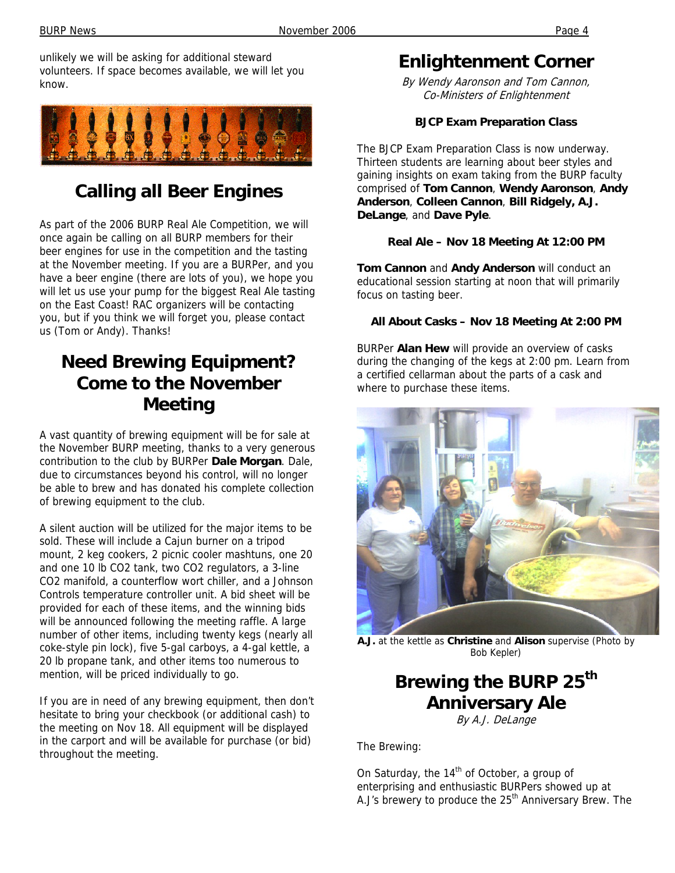unlikely we will be asking for additional steward volunteers. If space becomes available, we will let you know.



## **Calling all Beer Engines**

As part of the 2006 BURP Real Ale Competition, we will once again be calling on all BURP members for their beer engines for use in the competition and the tasting at the November meeting. If you are a BURPer, and you have a beer engine (there are lots of you), we hope you will let us use your pump for the biggest Real Ale tasting on the East Coast! RAC organizers will be contacting you, but if you think we will forget you, please contact us (Tom or Andy). Thanks!

### **Need Brewing Equipment? Come to the November Meeting**

A vast quantity of brewing equipment will be for sale at the November BURP meeting, thanks to a very generous contribution to the club by BURPer **Dale Morgan**. Dale, due to circumstances beyond his control, will no longer be able to brew and has donated his complete collection of brewing equipment to the club.

A silent auction will be utilized for the major items to be sold. These will include a Cajun burner on a tripod mount, 2 keg cookers, 2 picnic cooler mashtuns, one 20 and one 10 lb CO2 tank, two CO2 regulators, a 3-line CO2 manifold, a counterflow wort chiller, and a Johnson Controls temperature controller unit. A bid sheet will be provided for each of these items, and the winning bids will be announced following the meeting raffle. A large number of other items, including twenty kegs (nearly all coke-style pin lock), five 5-gal carboys, a 4-gal kettle, a 20 lb propane tank, and other items too numerous to mention, will be priced individually to go.

If you are in need of any brewing equipment, then don't hesitate to bring your checkbook (or additional cash) to the meeting on Nov 18. All equipment will be displayed in the carport and will be available for purchase (or bid) throughout the meeting.

### **Enlightenment Corner**

By Wendy Aaronson and Tom Cannon, Co-Ministers of Enlightenment

#### **BJCP Exam Preparation Class**

The BJCP Exam Preparation Class is now underway. Thirteen students are learning about beer styles and gaining insights on exam taking from the BURP faculty comprised of **Tom Cannon**, **Wendy Aaronson**, **Andy Anderson**, **Colleen Cannon**, **Bill Ridgely, A.J. DeLange**, and **Dave Pyle**.

#### **Real Ale – Nov 18 Meeting At 12:00 PM**

**Tom Cannon** and **Andy Anderson** will conduct an educational session starting at noon that will primarily focus on tasting beer.

#### **All About Casks – Nov 18 Meeting At 2:00 PM**

BURPer **Alan Hew** will provide an overview of casks during the changing of the kegs at 2:00 pm. Learn from a certified cellarman about the parts of a cask and where to purchase these items.



**A.J.** at the kettle as **Christine** and **Alison** supervise (Photo by Bob Kepler)

## **Brewing the BURP 25th Anniversary Ale**

By A.J. DeLange

The Brewing:

On Saturday, the  $14<sup>th</sup>$  of October, a group of enterprising and enthusiastic BURPers showed up at A.J's brewery to produce the 25<sup>th</sup> Anniversary Brew. The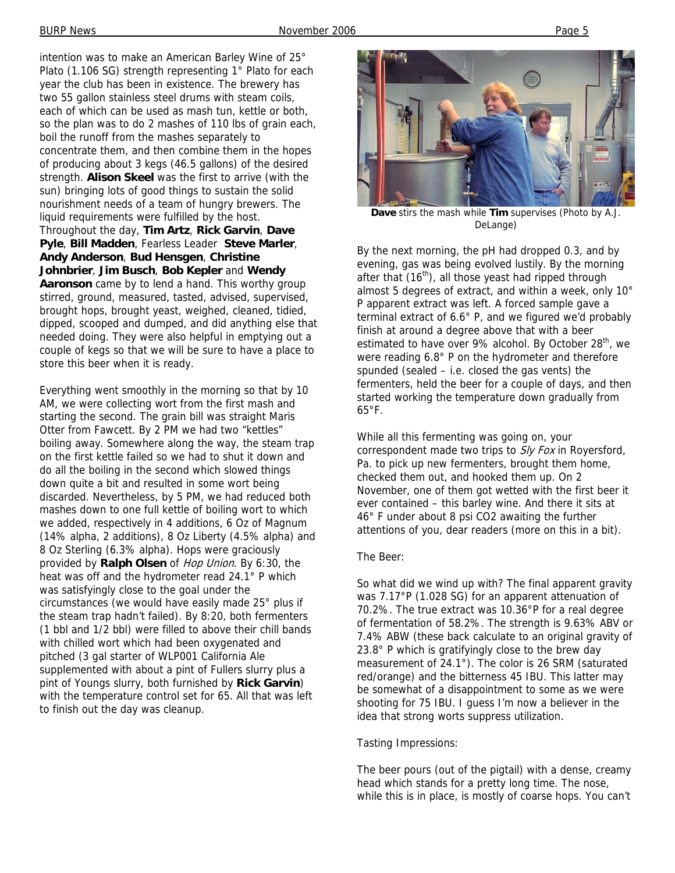intention was to make an American Barley Wine of 25° Plato (1.106 SG) strength representing 1° Plato for each year the club has been in existence. The brewery has two 55 gallon stainless steel drums with steam coils, each of which can be used as mash tun, kettle or both, so the plan was to do 2 mashes of 110 lbs of grain each, boil the runoff from the mashes separately to concentrate them, and then combine them in the hopes of producing about 3 kegs (46.5 gallons) of the desired strength. **Alison Skeel** was the first to arrive (with the sun) bringing lots of good things to sustain the solid nourishment needs of a team of hungry brewers. The liquid requirements were fulfilled by the host. Throughout the day, **Tim Artz**, **Rick Garvin**, **Dave Pyle**, **Bill Madden**, Fearless Leader **Steve Marler**, **Andy Anderson**, **Bud Hensgen**, **Christine Johnbrier**, **Jim Busch**, **Bob Kepler** and **Wendy Aaronson** came by to lend a hand. This worthy group stirred, ground, measured, tasted, advised, supervised, brought hops, brought yeast, weighed, cleaned, tidied, dipped, scooped and dumped, and did anything else that needed doing. They were also helpful in emptying out a couple of kegs so that we will be sure to have a place to store this beer when it is ready.

Everything went smoothly in the morning so that by 10 AM, we were collecting wort from the first mash and starting the second. The grain bill was straight Maris Otter from Fawcett. By 2 PM we had two "kettles" boiling away. Somewhere along the way, the steam trap on the first kettle failed so we had to shut it down and do all the boiling in the second which slowed things down quite a bit and resulted in some wort being discarded. Nevertheless, by 5 PM, we had reduced both mashes down to one full kettle of boiling wort to which we added, respectively in 4 additions, 6 Oz of Magnum (14% alpha, 2 additions), 8 Oz Liberty (4.5% alpha) and 8 Oz Sterling (6.3% alpha). Hops were graciously provided by **Ralph Olsen** of Hop Union. By 6:30, the heat was off and the hydrometer read 24.1° P which was satisfyingly close to the goal under the circumstances (we would have easily made 25° plus if the steam trap hadn't failed). By 8:20, both fermenters (1 bbl and 1/2 bbl) were filled to above their chill bands with chilled wort which had been oxygenated and pitched (3 gal starter of WLP001 California Ale supplemented with about a pint of Fullers slurry plus a pint of Youngs slurry, both furnished by **Rick Garvin**) with the temperature control set for 65. All that was left to finish out the day was cleanup.



**Dave** stirs the mash while **Tim** supervises (Photo by A.J. DeLange)

By the next morning, the pH had dropped 0.3, and by evening, gas was being evolved lustily. By the morning after that  $(16<sup>th</sup>)$ , all those yeast had ripped through almost 5 degrees of extract, and within a week, only 10° P apparent extract was left. A forced sample gave a terminal extract of 6.6° P, and we figured we'd probably finish at around a degree above that with a beer estimated to have over 9% alcohol. By October 28<sup>th</sup>, we were reading 6.8° P on the hydrometer and therefore spunded (sealed – i.e. closed the gas vents) the fermenters, held the beer for a couple of days, and then started working the temperature down gradually from  $65^{\circ}$ F.

While all this fermenting was going on, your correspondent made two trips to S/y Fox in Royersford, Pa. to pick up new fermenters, brought them home, checked them out, and hooked them up. On 2 November, one of them got wetted with the first beer it ever contained – this barley wine. And there it sits at 46° F under about 8 psi CO2 awaiting the further attentions of you, dear readers (more on this in a bit).

#### The Beer:

So what did we wind up with? The final apparent gravity was 7.17°P (1.028 SG) for an apparent attenuation of 70.2%. The true extract was 10.36°P for a real degree of fermentation of 58.2%. The strength is 9.63% ABV or 7.4% ABW (these back calculate to an original gravity of 23.8° P which is gratifyingly close to the brew day measurement of 24.1°). The color is 26 SRM (saturated red/orange) and the bitterness 45 IBU. This latter may be somewhat of a disappointment to some as we were shooting for 75 IBU. I guess I'm now a believer in the idea that strong worts suppress utilization.

#### Tasting Impressions:

The beer pours (out of the pigtail) with a dense, creamy head which stands for a pretty long time. The nose, while this is in place, is mostly of coarse hops. You can't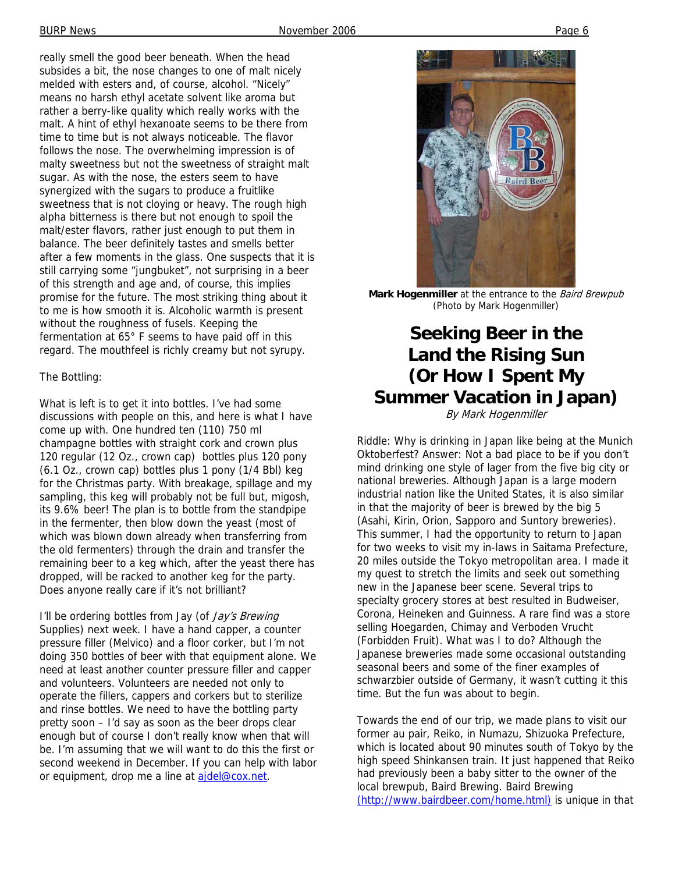really smell the good beer beneath. When the head subsides a bit, the nose changes to one of malt nicely melded with esters and, of course, alcohol. "Nicely" means no harsh ethyl acetate solvent like aroma but rather a berry-like quality which really works with the malt. A hint of ethyl hexanoate seems to be there from time to time but is not always noticeable. The flavor follows the nose. The overwhelming impression is of malty sweetness but not the sweetness of straight malt sugar. As with the nose, the esters seem to have synergized with the sugars to produce a fruitlike sweetness that is not cloying or heavy. The rough high alpha bitterness is there but not enough to spoil the malt/ester flavors, rather just enough to put them in balance. The beer definitely tastes and smells better after a few moments in the glass. One suspects that it is still carrying some "jungbuket", not surprising in a beer of this strength and age and, of course, this implies promise for the future. The most striking thing about it to me is how smooth it is. Alcoholic warmth is present without the roughness of fusels. Keeping the fermentation at 65° F seems to have paid off in this regard. The mouthfeel is richly creamy but not syrupy.

#### The Bottling:

What is left is to get it into bottles. I've had some discussions with people on this, and here is what I have come up with. One hundred ten (110) 750 ml champagne bottles with straight cork and crown plus 120 regular (12 Oz., crown cap) bottles plus 120 pony (6.1 Oz., crown cap) bottles plus 1 pony (1/4 Bbl) keg for the Christmas party. With breakage, spillage and my sampling, this keg will probably not be full but, migosh, its 9.6% beer! The plan is to bottle from the standpipe in the fermenter, then blow down the yeast (most of which was blown down already when transferring from the old fermenters) through the drain and transfer the remaining beer to a keg which, after the yeast there has dropped, will be racked to another keg for the party. Does anyone really care if it's not brilliant?

I'll be ordering bottles from Jay (of Jay's Brewing Supplies) next week. I have a hand capper, a counter pressure filler (Melvico) and a floor corker, but I'm not doing 350 bottles of beer with that equipment alone. We need at least another counter pressure filler and capper and volunteers. Volunteers are needed not only to operate the fillers, cappers and corkers but to sterilize and rinse bottles. We need to have the bottling party pretty soon – I'd say as soon as the beer drops clear enough but of course I don't really know when that will be. I'm assuming that we will want to do this the first or second weekend in December. If you can help with labor or equipment, drop me a line at aidel@cox.net.



**Mark Hogenmiller** at the entrance to the Baird Brewpub (Photo by Mark Hogenmiller)

### **Seeking Beer in the Land the Rising Sun (Or How I Spent My Summer Vacation in Japan)**

By Mark Hogenmiller

Riddle: Why is drinking in Japan like being at the Munich Oktoberfest? Answer: Not a bad place to be if you don't mind drinking one style of lager from the five big city or national breweries. Although Japan is a large modern industrial nation like the United States, it is also similar in that the majority of beer is brewed by the big 5 (Asahi, Kirin, Orion, Sapporo and Suntory breweries). This summer, I had the opportunity to return to Japan for two weeks to visit my in-laws in Saitama Prefecture, 20 miles outside the Tokyo metropolitan area. I made it my quest to stretch the limits and seek out something new in the Japanese beer scene. Several trips to specialty grocery stores at best resulted in Budweiser, Corona, Heineken and Guinness. A rare find was a store selling Hoegarden, Chimay and Verboden Vrucht (Forbidden Fruit). What was I to do? Although the Japanese breweries made some occasional outstanding seasonal beers and some of the finer examples of schwarzbier outside of Germany, it wasn't cutting it this time. But the fun was about to begin.

Towards the end of our trip, we made plans to visit our former au pair, Reiko, in Numazu, Shizuoka Prefecture, which is located about 90 minutes south of Tokyo by the high speed Shinkansen train. It just happened that Reiko had previously been a baby sitter to the owner of the local brewpub, Baird Brewing. Baird Brewing (http://www.bairdbeer.com/home.html) is unique in that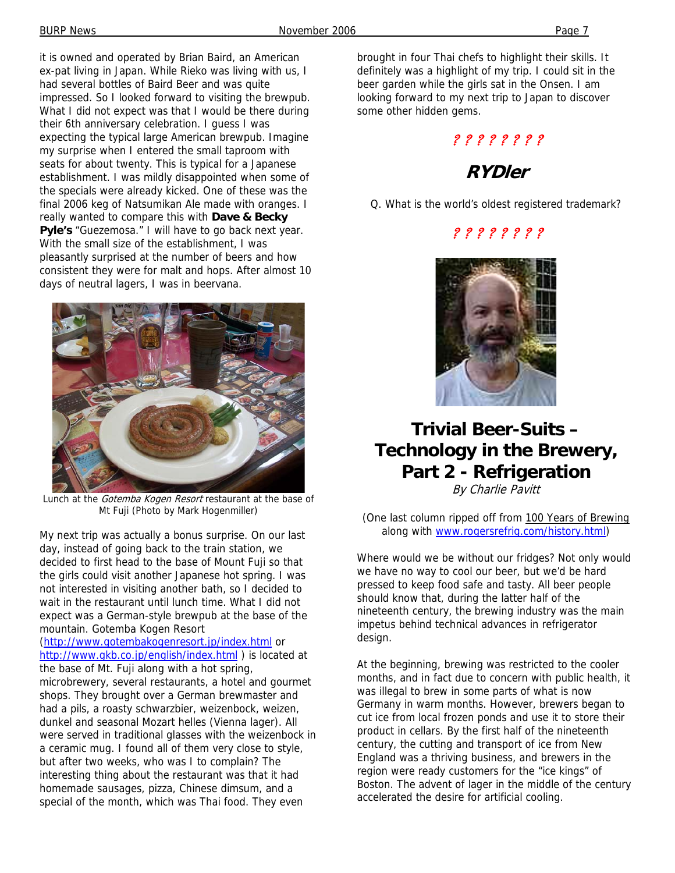it is owned and operated by Brian Baird, an American ex-pat living in Japan. While Rieko was living with us, I had several bottles of Baird Beer and was quite impressed. So I looked forward to visiting the brewpub. What I did not expect was that I would be there during their 6th anniversary celebration. I guess I was expecting the typical large American brewpub. Imagine my surprise when I entered the small taproom with seats for about twenty. This is typical for a Japanese establishment. I was mildly disappointed when some of the specials were already kicked. One of these was the final 2006 keg of Natsumikan Ale made with oranges. I really wanted to compare this with **Dave & Becky Pyle's** "Guezemosa." I will have to go back next year. With the small size of the establishment, I was pleasantly surprised at the number of beers and how consistent they were for malt and hops. After almost 10 days of neutral lagers, I was in beervana.



Lunch at the Gotemba Kogen Resort restaurant at the base of Mt Fuji (Photo by Mark Hogenmiller)

My next trip was actually a bonus surprise. On our last day, instead of going back to the train station, we decided to first head to the base of Mount Fuji so that the girls could visit another Japanese hot spring. I was not interested in visiting another bath, so I decided to wait in the restaurant until lunch time. What I did not expect was a German-style brewpub at the base of the mountain. Gotemba Kogen Resort

(http://www.gotembakogenresort.jp/index.html or http://www.gkb.co.jp/english/index.html ) is located at the base of Mt. Fuji along with a hot spring, microbrewery, several restaurants, a hotel and gourmet shops. They brought over a German brewmaster and had a pils, a roasty schwarzbier, weizenbock, weizen, dunkel and seasonal Mozart helles (Vienna lager). All were served in traditional glasses with the weizenbock in a ceramic mug. I found all of them very close to style, but after two weeks, who was I to complain? The interesting thing about the restaurant was that it had homemade sausages, pizza, Chinese dimsum, and a special of the month, which was Thai food. They even

brought in four Thai chefs to highlight their skills. It definitely was a highlight of my trip. I could sit in the beer garden while the girls sat in the Onsen. I am looking forward to my next trip to Japan to discover some other hidden gems.

#### ? ? ? ? ? ? ? ?

### **RYDler**

Q. What is the world's oldest registered trademark?

#### ? ? ? ? ? ? ? ?



### **Trivial Beer-Suits – Technology in the Brewery, Part 2 - Refrigeration**

By Charlie Pavitt

(One last column ripped off from 100 Years of Brewing along with www.rogersrefrig.com/history.html)

Where would we be without our fridges? Not only would we have no way to cool our beer, but we'd be hard pressed to keep food safe and tasty. All beer people should know that, during the latter half of the nineteenth century, the brewing industry was the main impetus behind technical advances in refrigerator design.

At the beginning, brewing was restricted to the cooler months, and in fact due to concern with public health, it was illegal to brew in some parts of what is now Germany in warm months. However, brewers began to cut ice from local frozen ponds and use it to store their product in cellars. By the first half of the nineteenth century, the cutting and transport of ice from New England was a thriving business, and brewers in the region were ready customers for the "ice kings" of Boston. The advent of lager in the middle of the century accelerated the desire for artificial cooling.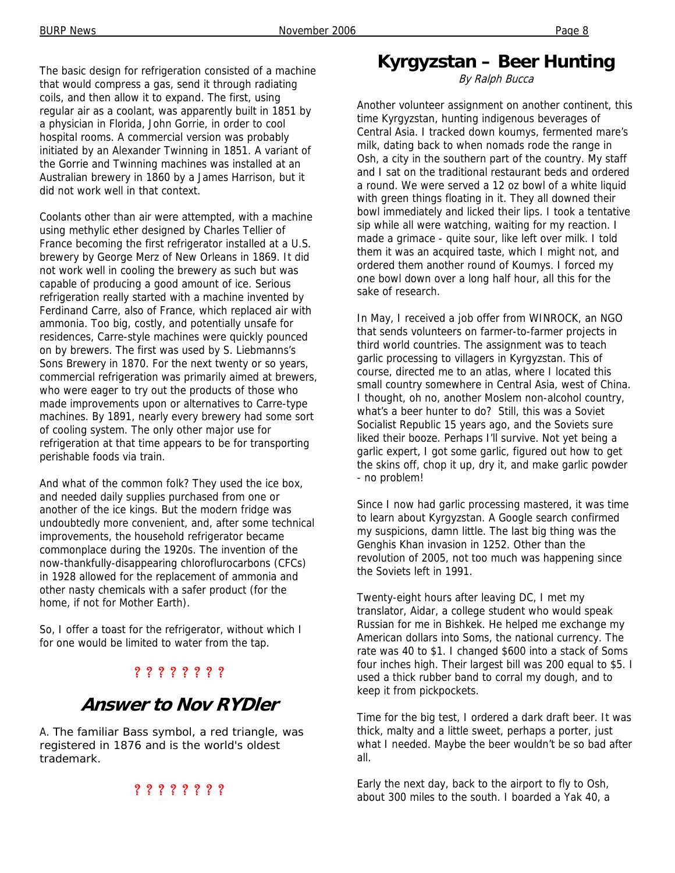The basic design for refrigeration consisted of a machine that would compress a gas, send it through radiating coils, and then allow it to expand. The first, using regular air as a coolant, was apparently built in 1851 by a physician in Florida, John Gorrie, in order to cool hospital rooms. A commercial version was probably initiated by an Alexander Twinning in 1851. A variant of the Gorrie and Twinning machines was installed at an Australian brewery in 1860 by a James Harrison, but it did not work well in that context.

Coolants other than air were attempted, with a machine using methylic ether designed by Charles Tellier of France becoming the first refrigerator installed at a U.S. brewery by George Merz of New Orleans in 1869. It did not work well in cooling the brewery as such but was capable of producing a good amount of ice. Serious refrigeration really started with a machine invented by Ferdinand Carre, also of France, which replaced air with ammonia. Too big, costly, and potentially unsafe for residences, Carre-style machines were quickly pounced on by brewers. The first was used by S. Liebmanns's Sons Brewery in 1870. For the next twenty or so years, commercial refrigeration was primarily aimed at brewers, who were eager to try out the products of those who made improvements upon or alternatives to Carre-type machines. By 1891, nearly every brewery had some sort of cooling system. The only other major use for refrigeration at that time appears to be for transporting perishable foods via train.

And what of the common folk? They used the ice box, and needed daily supplies purchased from one or another of the ice kings. But the modern fridge was undoubtedly more convenient, and, after some technical improvements, the household refrigerator became commonplace during the 1920s. The invention of the now-thankfully-disappearing chloroflurocarbons (CFCs) in 1928 allowed for the replacement of ammonia and other nasty chemicals with a safer product (for the home, if not for Mother Earth).

So, I offer a toast for the refrigerator, without which I for one would be limited to water from the tap.

#### ? ? ? ? ? ? ? ?

### **Answer to Nov RYDler**

A. The familiar Bass symbol, a red triangle, was registered in 1876 and is the world's oldest trademark.

#### ? ? ? ? ? ? ? ?

### **Kyrgyzstan – Beer Hunting**

By Ralph Bucca

Another volunteer assignment on another continent, this time Kyrgyzstan, hunting indigenous beverages of Central Asia. I tracked down koumys, fermented mare's milk, dating back to when nomads rode the range in Osh, a city in the southern part of the country. My staff and I sat on the traditional restaurant beds and ordered a round. We were served a 12 oz bowl of a white liquid with green things floating in it. They all downed their bowl immediately and licked their lips. I took a tentative sip while all were watching, waiting for my reaction. I made a grimace - quite sour, like left over milk. I told them it was an acquired taste, which I might not, and ordered them another round of Koumys. I forced my one bowl down over a long half hour, all this for the sake of research.

In May, I received a job offer from WINROCK, an NGO that sends volunteers on farmer-to-farmer projects in third world countries. The assignment was to teach garlic processing to villagers in Kyrgyzstan. This of course, directed me to an atlas, where I located this small country somewhere in Central Asia, west of China. I thought, oh no, another Moslem non-alcohol country, what's a beer hunter to do? Still, this was a Soviet Socialist Republic 15 years ago, and the Soviets sure liked their booze. Perhaps I'll survive. Not yet being a garlic expert, I got some garlic, figured out how to get the skins off, chop it up, dry it, and make garlic powder - no problem!

Since I now had garlic processing mastered, it was time to learn about Kyrgyzstan. A Google search confirmed my suspicions, damn little. The last big thing was the Genghis Khan invasion in 1252. Other than the revolution of 2005, not too much was happening since the Soviets left in 1991.

Twenty-eight hours after leaving DC, I met my translator, Aidar, a college student who would speak Russian for me in Bishkek. He helped me exchange my American dollars into Soms, the national currency. The rate was 40 to \$1. I changed \$600 into a stack of Soms four inches high. Their largest bill was 200 equal to \$5. I used a thick rubber band to corral my dough, and to keep it from pickpockets.

Time for the big test, I ordered a dark draft beer. It was thick, malty and a little sweet, perhaps a porter, just what I needed. Maybe the beer wouldn't be so bad after all.

Early the next day, back to the airport to fly to Osh, about 300 miles to the south. I boarded a Yak 40, a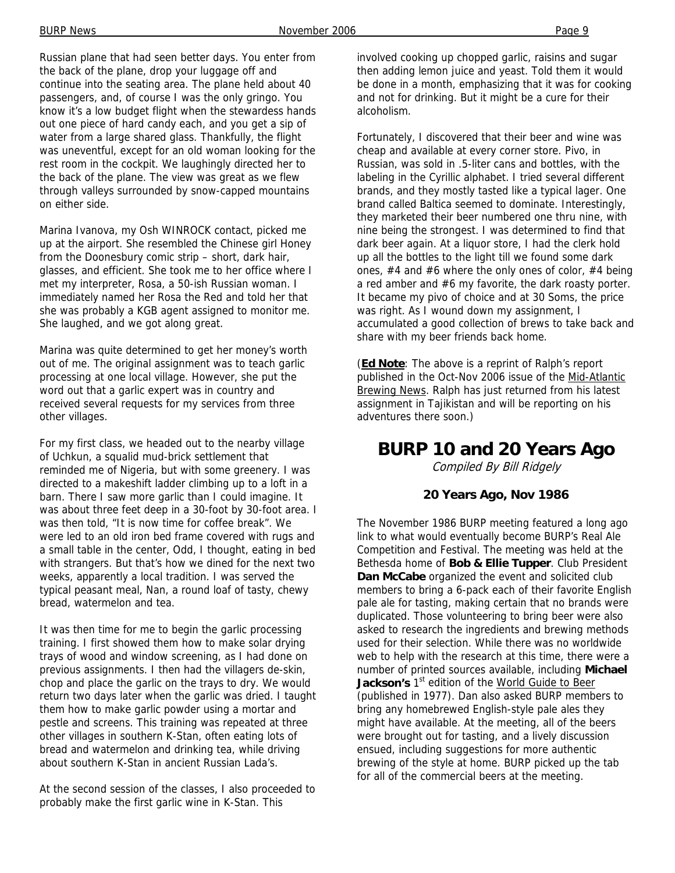Russian plane that had seen better days. You enter from the back of the plane, drop your luggage off and continue into the seating area. The plane held about 40 passengers, and, of course I was the only gringo. You know it's a low budget flight when the stewardess hands out one piece of hard candy each, and you get a sip of water from a large shared glass. Thankfully, the flight was uneventful, except for an old woman looking for the rest room in the cockpit. We laughingly directed her to the back of the plane. The view was great as we flew through valleys surrounded by snow-capped mountains on either side.

Marina Ivanova, my Osh WINROCK contact, picked me up at the airport. She resembled the Chinese girl Honey from the Doonesbury comic strip – short, dark hair, glasses, and efficient. She took me to her office where I met my interpreter, Rosa, a 50-ish Russian woman. I immediately named her Rosa the Red and told her that she was probably a KGB agent assigned to monitor me. She laughed, and we got along great.

Marina was quite determined to get her money's worth out of me. The original assignment was to teach garlic processing at one local village. However, she put the word out that a garlic expert was in country and received several requests for my services from three other villages.

For my first class, we headed out to the nearby village of Uchkun, a squalid mud-brick settlement that reminded me of Nigeria, but with some greenery. I was directed to a makeshift ladder climbing up to a loft in a barn. There I saw more garlic than I could imagine. It was about three feet deep in a 30-foot by 30-foot area. I was then told, "It is now time for coffee break". We were led to an old iron bed frame covered with rugs and a small table in the center, Odd, I thought, eating in bed with strangers. But that's how we dined for the next two weeks, apparently a local tradition. I was served the typical peasant meal, Nan, a round loaf of tasty, chewy bread, watermelon and tea.

It was then time for me to begin the garlic processing training. I first showed them how to make solar drying trays of wood and window screening, as I had done on previous assignments. I then had the villagers de-skin, chop and place the garlic on the trays to dry. We would return two days later when the garlic was dried. I taught them how to make garlic powder using a mortar and pestle and screens. This training was repeated at three other villages in southern K-Stan, often eating lots of bread and watermelon and drinking tea, while driving about southern K-Stan in ancient Russian Lada's.

At the second session of the classes, I also proceeded to probably make the first garlic wine in K-Stan. This

involved cooking up chopped garlic, raisins and sugar then adding lemon juice and yeast. Told them it would be done in a month, emphasizing that it was for cooking and not for drinking. But it might be a cure for their alcoholism.

Fortunately, I discovered that their beer and wine was cheap and available at every corner store. Pivo, in Russian, was sold in .5-liter cans and bottles, with the labeling in the Cyrillic alphabet. I tried several different brands, and they mostly tasted like a typical lager. One brand called Baltica seemed to dominate. Interestingly, they marketed their beer numbered one thru nine, with nine being the strongest. I was determined to find that dark beer again. At a liquor store, I had the clerk hold up all the bottles to the light till we found some dark ones,  $#4$  and  $#6$  where the only ones of color,  $#4$  being a red amber and #6 my favorite, the dark roasty porter. It became my pivo of choice and at 30 Soms, the price was right. As I wound down my assignment, I accumulated a good collection of brews to take back and share with my beer friends back home.

(**Ed Note**: The above is a reprint of Ralph's report published in the Oct-Nov 2006 issue of the Mid-Atlantic Brewing News. Ralph has just returned from his latest assignment in Tajikistan and will be reporting on his adventures there soon.)

### **BURP 10 and 20 Years Ago**

Compiled By Bill Ridgely

#### **20 Years Ago, Nov 1986**

The November 1986 BURP meeting featured a long ago link to what would eventually become BURP's Real Ale Competition and Festival. The meeting was held at the Bethesda home of **Bob & Ellie Tupper**. Club President **Dan McCabe** organized the event and solicited club members to bring a 6-pack each of their favorite English pale ale for tasting, making certain that no brands were duplicated. Those volunteering to bring beer were also asked to research the ingredients and brewing methods used for their selection. While there was no worldwide web to help with the research at this time, there were a number of printed sources available, including **Michael**  Jackson's 1<sup>st</sup> edition of the World Guide to Beer (published in 1977). Dan also asked BURP members to bring any homebrewed English-style pale ales they might have available. At the meeting, all of the beers were brought out for tasting, and a lively discussion ensued, including suggestions for more authentic brewing of the style at home. BURP picked up the tab for all of the commercial beers at the meeting.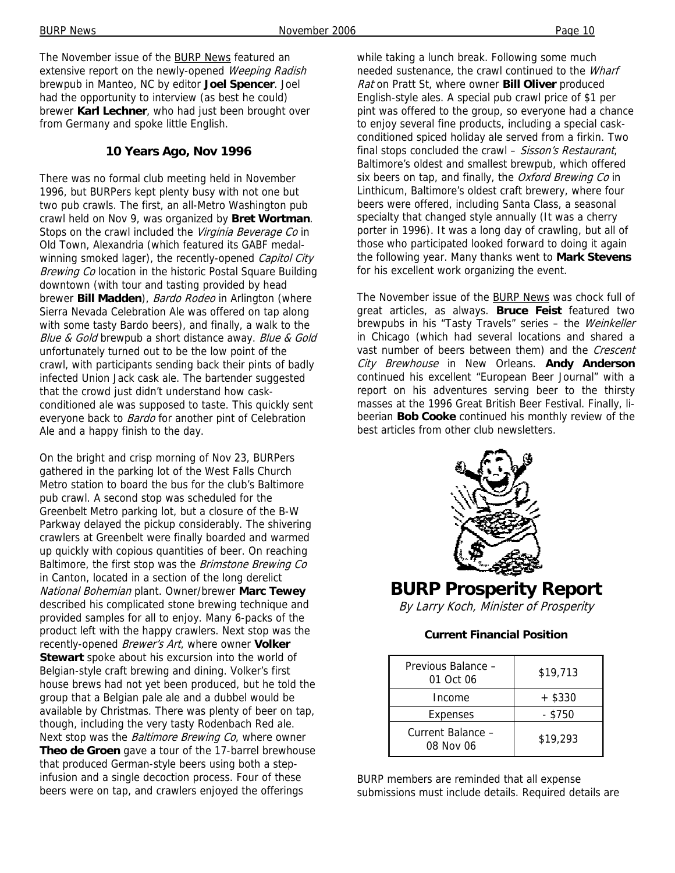The November issue of the BURP News featured an extensive report on the newly-opened Weeping Radish brewpub in Manteo, NC by editor **Joel Spencer**. Joel had the opportunity to interview (as best he could) brewer **Karl Lechner**, who had just been brought over from Germany and spoke little English.

#### **10 Years Ago, Nov 1996**

There was no formal club meeting held in November 1996, but BURPers kept plenty busy with not one but two pub crawls. The first, an all-Metro Washington pub crawl held on Nov 9, was organized by **Bret Wortman**. Stops on the crawl included the Virginia Beverage Co in Old Town, Alexandria (which featured its GABF medalwinning smoked lager), the recently-opened Capitol City Brewing Co location in the historic Postal Square Building downtown (with tour and tasting provided by head brewer **Bill Madden**), Bardo Rodeo in Arlington (where Sierra Nevada Celebration Ale was offered on tap along with some tasty Bardo beers), and finally, a walk to the Blue & Gold brewpub a short distance away. Blue & Gold unfortunately turned out to be the low point of the crawl, with participants sending back their pints of badly infected Union Jack cask ale. The bartender suggested that the crowd just didn't understand how caskconditioned ale was supposed to taste. This quickly sent everyone back to **Bardo** for another pint of Celebration Ale and a happy finish to the day.

On the bright and crisp morning of Nov 23, BURPers gathered in the parking lot of the West Falls Church Metro station to board the bus for the club's Baltimore pub crawl. A second stop was scheduled for the Greenbelt Metro parking lot, but a closure of the B-W Parkway delayed the pickup considerably. The shivering crawlers at Greenbelt were finally boarded and warmed up quickly with copious quantities of beer. On reaching Baltimore, the first stop was the *Brimstone Brewing Co* in Canton, located in a section of the long derelict National Bohemian plant. Owner/brewer **Marc Tewey** described his complicated stone brewing technique and provided samples for all to enjoy. Many 6-packs of the product left with the happy crawlers. Next stop was the recently-opened Brewer's Art, where owner **Volker Stewart** spoke about his excursion into the world of Belgian-style craft brewing and dining. Volker's first house brews had not yet been produced, but he told the group that a Belgian pale ale and a dubbel would be available by Christmas. There was plenty of beer on tap, though, including the very tasty Rodenbach Red ale. Next stop was the *Baltimore Brewing Co*, where owner **Theo de Groen** gave a tour of the 17-barrel brewhouse that produced German-style beers using both a stepinfusion and a single decoction process. Four of these beers were on tap, and crawlers enjoyed the offerings

while taking a lunch break. Following some much needed sustenance, the crawl continued to the Wharf Rat on Pratt St, where owner **Bill Oliver** produced English-style ales. A special pub crawl price of \$1 per pint was offered to the group, so everyone had a chance to enjoy several fine products, including a special caskconditioned spiced holiday ale served from a firkin. Two final stops concluded the crawl - Sisson's Restaurant, Baltimore's oldest and smallest brewpub, which offered six beers on tap, and finally, the Oxford Brewing Co in Linthicum, Baltimore's oldest craft brewery, where four beers were offered, including Santa Class, a seasonal specialty that changed style annually (It was a cherry porter in 1996). It was a long day of crawling, but all of those who participated looked forward to doing it again the following year. Many thanks went to **Mark Stevens** for his excellent work organizing the event.

The November issue of the BURP News was chock full of great articles, as always. **Bruce Feist** featured two brewpubs in his "Tasty Travels" series - the Weinkeller in Chicago (which had several locations and shared a vast number of beers between them) and the Crescent City Brewhouse in New Orleans. **Andy Anderson** continued his excellent "European Beer Journal" with a report on his adventures serving beer to the thirsty masses at the 1996 Great British Beer Festival. Finally, libeerian **Bob Cooke** continued his monthly review of the best articles from other club newsletters.



### **BURP Prosperity Report**

By Larry Koch, Minister of Prosperity

#### **Current Financial Position**

| Previous Balance -<br>01 Oct 06 | \$19,713  |
|---------------------------------|-----------|
| Income                          | $+$ \$330 |
| Expenses                        | - \$750   |
| Current Balance -<br>08 Nov 06  | \$19,293  |

BURP members are reminded that all expense submissions must include details. Required details are